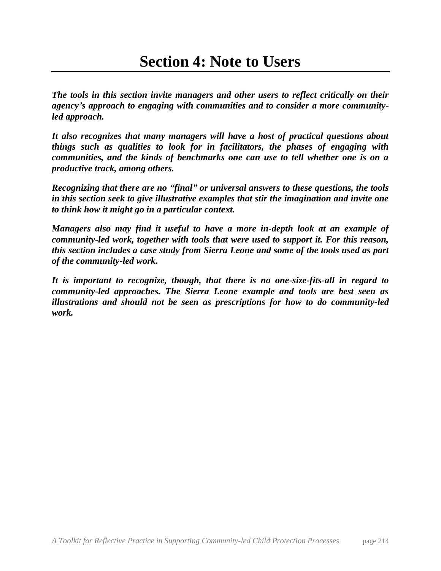*The tools in this section invite managers and other users to reflect critically on their agency's approach to engaging with communities and to consider a more communityled approach.* 

*It also recognizes that many managers will have a host of practical questions about things such as qualities to look for in facilitators, the phases of engaging with communities, and the kinds of benchmarks one can use to tell whether one is on a productive track, among others.* 

*Recognizing that there are no "final" or universal answers to these questions, the tools in this section seek to give illustrative examples that stir the imagination and invite one to think how it might go in a particular context.*

*Managers also may find it useful to have a more in-depth look at an example of community-led work, together with tools that were used to support it. For this reason, this section includes a case study from Sierra Leone and some of the tools used as part of the community-led work.* 

*It is important to recognize, though, that there is no one-size-fits-all in regard to community-led approaches. The Sierra Leone example and tools are best seen as illustrations and should not be seen as prescriptions for how to do community-led work.*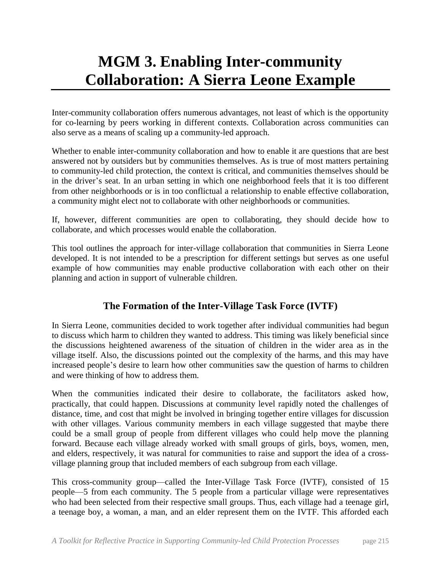# **MGM 3. Enabling Inter-community Collaboration: A Sierra Leone Example**

Inter-community collaboration offers numerous advantages, not least of which is the opportunity for co-learning by peers working in different contexts. Collaboration across communities can also serve as a means of scaling up a community-led approach.

Whether to enable inter-community collaboration and how to enable it are questions that are best answered not by outsiders but by communities themselves. As is true of most matters pertaining to community-led child protection, the context is critical, and communities themselves should be in the driver's seat. In an urban setting in which one neighborhood feels that it is too different from other neighborhoods or is in too conflictual a relationship to enable effective collaboration, a community might elect not to collaborate with other neighborhoods or communities.

If, however, different communities are open to collaborating, they should decide how to collaborate, and which processes would enable the collaboration.

This tool outlines the approach for inter-village collaboration that communities in Sierra Leone developed. It is not intended to be a prescription for different settings but serves as one useful example of how communities may enable productive collaboration with each other on their planning and action in support of vulnerable children.

## **The Formation of the Inter-Village Task Force (IVTF)**

In Sierra Leone, communities decided to work together after individual communities had begun to discuss which harm to children they wanted to address. This timing was likely beneficial since the discussions heightened awareness of the situation of children in the wider area as in the village itself. Also, the discussions pointed out the complexity of the harms, and this may have increased people's desire to learn how other communities saw the question of harms to children and were thinking of how to address them.

When the communities indicated their desire to collaborate, the facilitators asked how, practically, that could happen. Discussions at community level rapidly noted the challenges of distance, time, and cost that might be involved in bringing together entire villages for discussion with other villages. Various community members in each village suggested that maybe there could be a small group of people from different villages who could help move the planning forward. Because each village already worked with small groups of girls, boys, women, men, and elders, respectively, it was natural for communities to raise and support the idea of a crossvillage planning group that included members of each subgroup from each village.

This cross-community group—called the Inter-Village Task Force (IVTF), consisted of 15 people—5 from each community. The 5 people from a particular village were representatives who had been selected from their respective small groups. Thus, each village had a teenage girl, a teenage boy, a woman, a man, and an elder represent them on the IVTF. This afforded each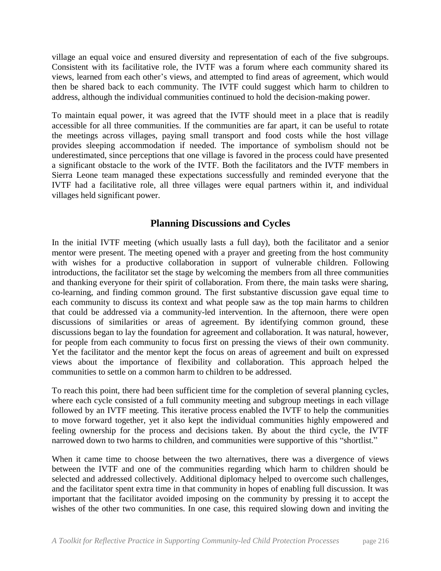village an equal voice and ensured diversity and representation of each of the five subgroups. Consistent with its facilitative role, the IVTF was a forum where each community shared its views, learned from each other's views, and attempted to find areas of agreement, which would then be shared back to each community. The IVTF could suggest which harm to children to address, although the individual communities continued to hold the decision-making power.

To maintain equal power, it was agreed that the IVTF should meet in a place that is readily accessible for all three communities. If the communities are far apart, it can be useful to rotate the meetings across villages, paying small transport and food costs while the host village provides sleeping accommodation if needed. The importance of symbolism should not be underestimated, since perceptions that one village is favored in the process could have presented a significant obstacle to the work of the IVTF. Both the facilitators and the IVTF members in Sierra Leone team managed these expectations successfully and reminded everyone that the IVTF had a facilitative role, all three villages were equal partners within it, and individual villages held significant power.

### **Planning Discussions and Cycles**

In the initial IVTF meeting (which usually lasts a full day), both the facilitator and a senior mentor were present. The meeting opened with a prayer and greeting from the host community with wishes for a productive collaboration in support of vulnerable children. Following introductions, the facilitator set the stage by welcoming the members from all three communities and thanking everyone for their spirit of collaboration. From there, the main tasks were sharing, co-learning, and finding common ground. The first substantive discussion gave equal time to each community to discuss its context and what people saw as the top main harms to children that could be addressed via a community-led intervention. In the afternoon, there were open discussions of similarities or areas of agreement. By identifying common ground, these discussions began to lay the foundation for agreement and collaboration. It was natural, however, for people from each community to focus first on pressing the views of their own community. Yet the facilitator and the mentor kept the focus on areas of agreement and built on expressed views about the importance of flexibility and collaboration. This approach helped the communities to settle on a common harm to children to be addressed.

To reach this point, there had been sufficient time for the completion of several planning cycles, where each cycle consisted of a full community meeting and subgroup meetings in each village followed by an IVTF meeting. This iterative process enabled the IVTF to help the communities to move forward together, yet it also kept the individual communities highly empowered and feeling ownership for the process and decisions taken. By about the third cycle, the IVTF narrowed down to two harms to children, and communities were supportive of this "shortlist."

When it came time to choose between the two alternatives, there was a divergence of views between the IVTF and one of the communities regarding which harm to children should be selected and addressed collectively. Additional diplomacy helped to overcome such challenges, and the facilitator spent extra time in that community in hopes of enabling full discussion. It was important that the facilitator avoided imposing on the community by pressing it to accept the wishes of the other two communities. In one case, this required slowing down and inviting the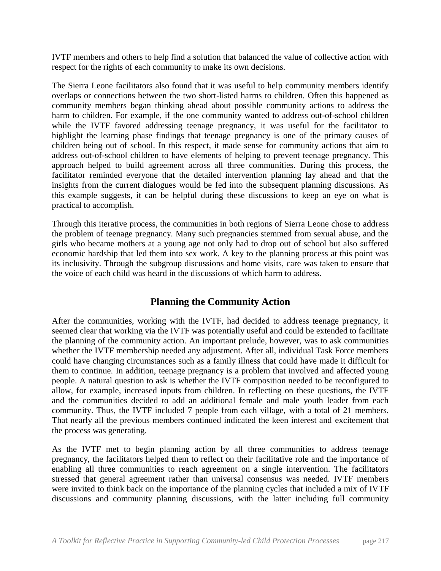IVTF members and others to help find a solution that balanced the value of collective action with respect for the rights of each community to make its own decisions.

The Sierra Leone facilitators also found that it was useful to help community members identify overlaps or connections between the two short-listed harms to children. Often this happened as community members began thinking ahead about possible community actions to address the harm to children. For example, if the one community wanted to address out-of-school children while the IVTF favored addressing teenage pregnancy, it was useful for the facilitator to highlight the learning phase findings that teenage pregnancy is one of the primary causes of children being out of school. In this respect, it made sense for community actions that aim to address out-of-school children to have elements of helping to prevent teenage pregnancy. This approach helped to build agreement across all three communities. During this process, the facilitator reminded everyone that the detailed intervention planning lay ahead and that the insights from the current dialogues would be fed into the subsequent planning discussions. As this example suggests, it can be helpful during these discussions to keep an eye on what is practical to accomplish.

Through this iterative process, the communities in both regions of Sierra Leone chose to address the problem of teenage pregnancy. Many such pregnancies stemmed from sexual abuse, and the girls who became mothers at a young age not only had to drop out of school but also suffered economic hardship that led them into sex work. A key to the planning process at this point was its inclusivity. Through the subgroup discussions and home visits, care was taken to ensure that the voice of each child was heard in the discussions of which harm to address.

#### **Planning the Community Action**

After the communities, working with the IVTF, had decided to address teenage pregnancy, it seemed clear that working via the IVTF was potentially useful and could be extended to facilitate the planning of the community action. An important prelude, however, was to ask communities whether the IVTF membership needed any adjustment. After all, individual Task Force members could have changing circumstances such as a family illness that could have made it difficult for them to continue. In addition, teenage pregnancy is a problem that involved and affected young people. A natural question to ask is whether the IVTF composition needed to be reconfigured to allow, for example, increased inputs from children. In reflecting on these questions, the IVTF and the communities decided to add an additional female and male youth leader from each community. Thus, the IVTF included 7 people from each village, with a total of 21 members. That nearly all the previous members continued indicated the keen interest and excitement that the process was generating.

As the IVTF met to begin planning action by all three communities to address teenage pregnancy, the facilitators helped them to reflect on their facilitative role and the importance of enabling all three communities to reach agreement on a single intervention. The facilitators stressed that general agreement rather than universal consensus was needed. IVTF members were invited to think back on the importance of the planning cycles that included a mix of IVTF discussions and community planning discussions, with the latter including full community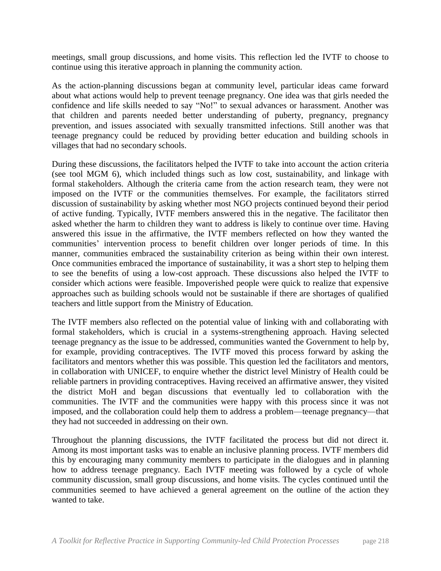meetings, small group discussions, and home visits. This reflection led the IVTF to choose to continue using this iterative approach in planning the community action.

As the action-planning discussions began at community level, particular ideas came forward about what actions would help to prevent teenage pregnancy. One idea was that girls needed the confidence and life skills needed to say "No!" to sexual advances or harassment. Another was that children and parents needed better understanding of puberty, pregnancy, pregnancy prevention, and issues associated with sexually transmitted infections. Still another was that teenage pregnancy could be reduced by providing better education and building schools in villages that had no secondary schools.

During these discussions, the facilitators helped the IVTF to take into account the action criteria (see tool MGM 6), which included things such as low cost, sustainability, and linkage with formal stakeholders. Although the criteria came from the action research team, they were not imposed on the IVTF or the communities themselves. For example, the facilitators stirred discussion of sustainability by asking whether most NGO projects continued beyond their period of active funding. Typically, IVTF members answered this in the negative. The facilitator then asked whether the harm to children they want to address is likely to continue over time. Having answered this issue in the affirmative, the IVTF members reflected on how they wanted the communities' intervention process to benefit children over longer periods of time. In this manner, communities embraced the sustainability criterion as being within their own interest. Once communities embraced the importance of sustainability, it was a short step to helping them to see the benefits of using a low-cost approach. These discussions also helped the IVTF to consider which actions were feasible. Impoverished people were quick to realize that expensive approaches such as building schools would not be sustainable if there are shortages of qualified teachers and little support from the Ministry of Education.

The IVTF members also reflected on the potential value of linking with and collaborating with formal stakeholders, which is crucial in a systems-strengthening approach. Having selected teenage pregnancy as the issue to be addressed, communities wanted the Government to help by, for example, providing contraceptives. The IVTF moved this process forward by asking the facilitators and mentors whether this was possible. This question led the facilitators and mentors, in collaboration with UNICEF, to enquire whether the district level Ministry of Health could be reliable partners in providing contraceptives. Having received an affirmative answer, they visited the district MoH and began discussions that eventually led to collaboration with the communities. The IVTF and the communities were happy with this process since it was not imposed, and the collaboration could help them to address a problem—teenage pregnancy—that they had not succeeded in addressing on their own.

Throughout the planning discussions, the IVTF facilitated the process but did not direct it. Among its most important tasks was to enable an inclusive planning process. IVTF members did this by encouraging many community members to participate in the dialogues and in planning how to address teenage pregnancy. Each IVTF meeting was followed by a cycle of whole community discussion, small group discussions, and home visits. The cycles continued until the communities seemed to have achieved a general agreement on the outline of the action they wanted to take.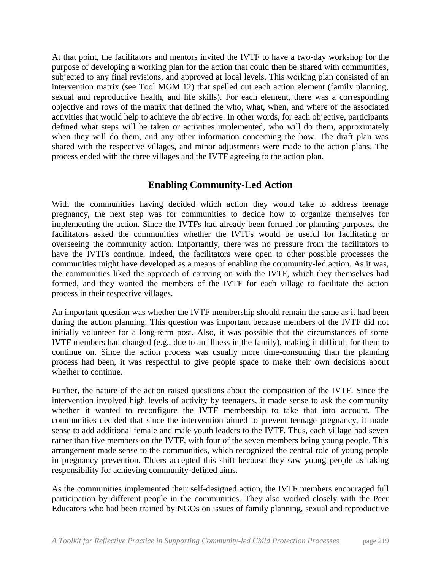At that point, the facilitators and mentors invited the IVTF to have a two-day workshop for the purpose of developing a working plan for the action that could then be shared with communities, subjected to any final revisions, and approved at local levels. This working plan consisted of an intervention matrix (see Tool MGM 12) that spelled out each action element (family planning, sexual and reproductive health, and life skills). For each element, there was a corresponding objective and rows of the matrix that defined the who, what, when, and where of the associated activities that would help to achieve the objective. In other words, for each objective, participants defined what steps will be taken or activities implemented, who will do them, approximately when they will do them, and any other information concerning the how. The draft plan was shared with the respective villages, and minor adjustments were made to the action plans. The process ended with the three villages and the IVTF agreeing to the action plan.

#### **Enabling Community-Led Action**

With the communities having decided which action they would take to address teenage pregnancy, the next step was for communities to decide how to organize themselves for implementing the action. Since the IVTFs had already been formed for planning purposes, the facilitators asked the communities whether the IVTFs would be useful for facilitating or overseeing the community action. Importantly, there was no pressure from the facilitators to have the IVTFs continue. Indeed, the facilitators were open to other possible processes the communities might have developed as a means of enabling the community-led action. As it was, the communities liked the approach of carrying on with the IVTF, which they themselves had formed, and they wanted the members of the IVTF for each village to facilitate the action process in their respective villages.

An important question was whether the IVTF membership should remain the same as it had been during the action planning. This question was important because members of the IVTF did not initially volunteer for a long-term post. Also, it was possible that the circumstances of some IVTF members had changed (e.g., due to an illness in the family), making it difficult for them to continue on. Since the action process was usually more time-consuming than the planning process had been, it was respectful to give people space to make their own decisions about whether to continue.

Further, the nature of the action raised questions about the composition of the IVTF. Since the intervention involved high levels of activity by teenagers, it made sense to ask the community whether it wanted to reconfigure the IVTF membership to take that into account. The communities decided that since the intervention aimed to prevent teenage pregnancy, it made sense to add additional female and male youth leaders to the IVTF. Thus, each village had seven rather than five members on the IVTF, with four of the seven members being young people. This arrangement made sense to the communities, which recognized the central role of young people in pregnancy prevention. Elders accepted this shift because they saw young people as taking responsibility for achieving community-defined aims.

As the communities implemented their self-designed action, the IVTF members encouraged full participation by different people in the communities. They also worked closely with the Peer Educators who had been trained by NGOs on issues of family planning, sexual and reproductive